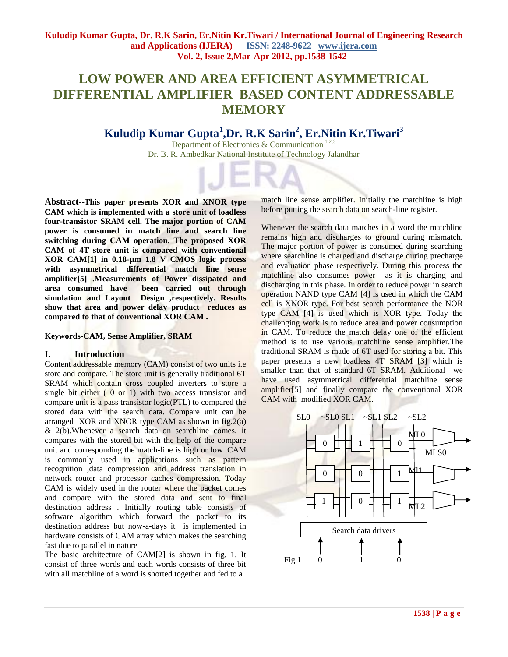# **LOW POWER AND AREA EFFICIENT ASYMMETRICAL DIFFERENTIAL AMPLIFIER BASED CONTENT ADDRESSABLE MEMORY**

## **Kuludip Kumar Gupta<sup>1</sup> ,Dr. R.K Sarin<sup>2</sup> , Er.Nitin Kr.Tiwari<sup>3</sup>**

Department of Electronics & Communication<sup>1,2,3</sup> Dr. B. R. Ambedkar National Institute of Technology Jalandhar

**Abstract-**-**This paper presents XOR and XNOR type CAM which is implemented with a store unit of loadless four-transistor SRAM cell. The major portion of CAM power is consumed in match line and search line switching during CAM operation. The proposed XOR CAM of 4T store unit is compared with conventional XOR CAM[1] in 0.18-µm 1.8 V CMOS logic process with asymmetrical differential match line sense amplifier[5] .Measurements of Power dissipated and area consumed have been carried out through**  simulation and Layout Design ,respectively. Results **show that area and power delay product reduces as compared to that of conventional XOR CAM .**

**Keywords-CAM, Sense Amplifier, SRAM**

#### **I. Introduction**

Content addressable memory (CAM) consist of two units i.e store and compare. The store unit is generally traditional 6T SRAM which contain cross coupled inverters to store a single bit either  $(0 \text{ or } 1)$  with two access transistor and compare unit is a pass transistor logic(PTL) to compared the stored data with the search data. Compare unit can be arranged XOR and XNOR type CAM as shown in  $fig.2(a)$  $& 2(b)$ . Whenever a search data on searchline comes, it compares with the stored bit with the help of the compare unit and corresponding the match-line is high or low .CAM is commonly used in applications such as pattern recognition ,data compression and address translation in network router and processor caches compression. Today CAM is widely used in the router where the packet comes and compare with the stored data and sent to final destination address . Initially routing table consists of software algorithm which forward the packet to its destination address but now-a-days it is implemented in hardware consists of CAM array which makes the searching fast due to parallel in nature

The basic architecture of CAM[2] is shown in fig. 1. It consist of three words and each words consists of three bit with all matchline of a word is shorted together and fed to a

match line sense amplifier. Initially the matchline is high before putting the search data on search-line register.

Whenever the search data matches in a word the matchline remains high and discharges to ground during mismatch. The major portion of power is consumed during searching where searchline is charged and discharge during precharge and evaluation phase respectively. During this process the matchline also consumes power as it is charging and discharging in this phase. In order to reduce power in search operation NAND type CAM [4] is used in which the CAM cell is XNOR type. For best search performance the NOR type CAM [4] is used which is XOR type. Today the challenging work is to reduce area and power consumption in CAM. To reduce the match delay one of the efficient method is to use various matchline sense amplifier.The traditional SRAM is made of 6T used for storing a bit. This paper presents a new loadless 4T SRAM [3] which is smaller than that of standard 6T SRAM. Additional we have used asymmetrical differential matchline sense amplifier[5] and finally compare the conventional XOR CAM with modified XOR CAM.

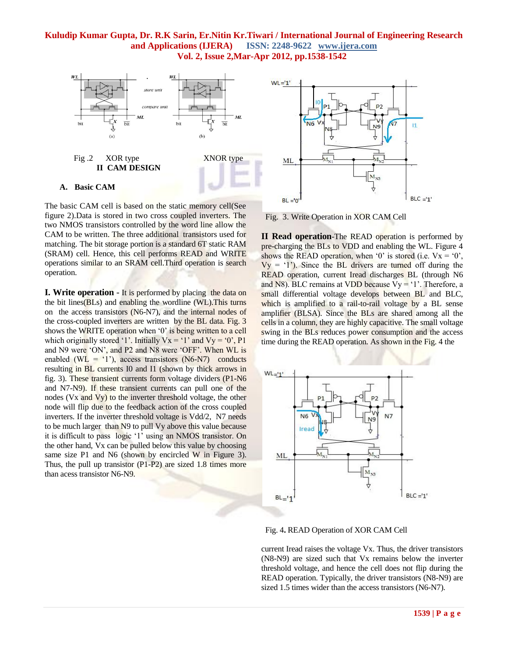

The basic CAM cell is based on the static memory cell(See figure 2).Data is stored in two cross coupled inverters. The two NMOS transistors controlled by the word line allow the CAM to be written. The three additional transistors used for matching. The bit storage portion is a standard 6T static RAM (SRAM) cell. Hence, this cell performs READ and WRITE operations similar to an SRAM cell.Third operation is search operation.

**I. Write operation** - It is performed by placing the data on the bit lines(BLs) and enabling the wordline (WL).This turns on the access transistors (N6-N7), and the internal nodes of the cross-coupled inverters are written by the BL data. Fig. 3 shows the WRITE operation when '0' is being written to a cell which originally stored '1'. Initially  $Vx = '1'$  and  $Vy = '0', P1$ and N9 were "ON", and P2 and N8 were "OFF". When WL is enabled (WL =  $^{\circ}$ 1'), access transistors (N6-N7) conducts resulting in BL currents I0 and I1 (shown by thick arrows in fig. 3). These transient currents form voltage dividers (P1-N6 and N7-N9). If these transient currents can pull one of the nodes (Vx and Vy) to the inverter threshold voltage, the other node will flip due to the feedback action of the cross coupled inverters. If the inverter threshold voltage is Vdd/2, N7 needs to be much larger than N9 to pull Vy above this value because it is difficult to pass logic "1" using an NMOS transistor. On the other hand, Vx can be pulled below this value by choosing same size P1 and N6 (shown by encircled W in Figure 3). Thus, the pull up transistor (P1-P2) are sized 1.8 times more than acess transistor N6-N9.



Fig. 3. Write Operation in XOR CAM Cell

**II Read operation**-The READ operation is performed by pre-charging the BLs to VDD and enabling the WL. Figure 4 shows the READ operation, when '0' is stored (i.e.  $Vx = '0'$ ),  $V_y = '1'$ ). Since the BL drivers are turned off during the READ operation, current Iread discharges BL (through N6 and N8). BLC remains at VDD because  $Vy = 1$ . Therefore, a small differential voltage develops between BL and BLC, which is amplified to a rail-to-rail voltage by a BL sense amplifier (BLSA). Since the BLs are shared among all the cells in a column, they are highly capacitive. The small voltage swing in the BLs reduces power consumption and the access time during the READ operation. As shown in the Fig. 4 the



Fig. 4**.** READ Operation of XOR CAM Cell

current Iread raises the voltage Vx. Thus, the driver transistors (N8-N9) are sized such that Vx remains below the inverter threshold voltage, and hence the cell does not flip during the READ operation. Typically, the driver transistors (N8-N9) are sized 1.5 times wider than the access transistors (N6-N7).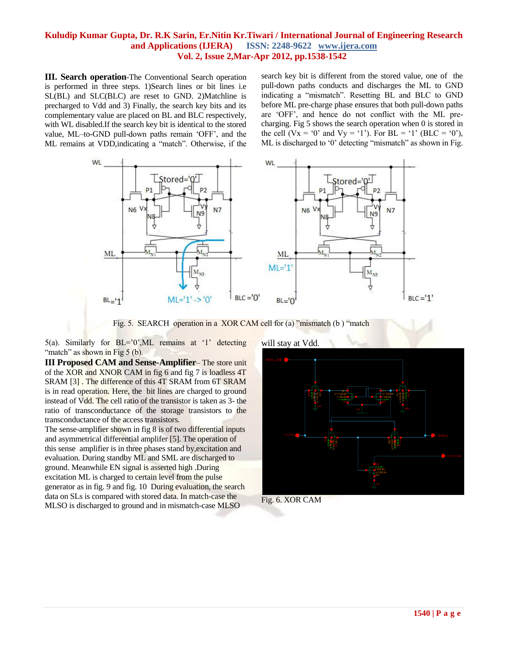**III. Search operation**-The Conventional Search operation is performed in three steps. 1)Search lines or bit lines i.e SL(BL) and SLC(BLC) are reset to GND. 2)Matchline is precharged to Vdd and 3) Finally, the search key bits and its complementary value are placed on BL and BLC respectively, with WL disabled.If the search key bit is identical to the stored value, ML–to-GND pull-down paths remain "OFF", and the ML remains at VDD,indicating a "match". Otherwise, if the search key bit is different from the stored value, one of the pull-down paths conducts and discharges the ML to GND indicating a "mismatch". Resetting BL and BLC to GND before ML pre-charge phase ensures that both pull-down paths are "OFF", and hence do not conflict with the ML precharging. Fig 5 shows the search operation when 0 is stored in the cell (Vx =  $\degree 0$ ' and Vy =  $\degree 1$ '). For BL =  $\degree 1$ ' (BLC =  $\degree 0$ '), ML is discharged to '0' detecting "mismatch" as shown in Fig.



Fig. 5. SEARCH operation in a XOR CAM cell for (a) "mismatch (b ) "match

5(a). Similarly for  $BL = 0$ , ML remains at '1' detecting "match" as shown in Fig 5 (b).

**III Proposed CAM and Sense-Amplifier**– The store unit of the XOR and XNOR CAM in fig 6 and fig 7 is loadless 4T SRAM [3] . The difference of this 4T SRAM from 6T SRAM is in read operation. Here, the bit lines are charged to ground instead of Vdd. The cell ratio of the transistor is taken as 3- the ratio of transconductance of the storage transistors to the transconductance of the access transistors.

The sense-amplifier shown in fig 8 is of two differential inputs and asymmetrical differential amplifer [5]. The operation of this sense amplifier is in three phases stand by,excitation and evaluation. During standby ML and SML are discharged to ground. Meanwhile EN signal is asserted high .During excitation ML is charged to certain level from the pulse generator as in fig. 9 and fig. 10 During evaluation, the search data on SLs is compared with stored data. In match-case the MLSO is discharged to ground and in mismatch-case MLSO



Fig. 6. XOR CAM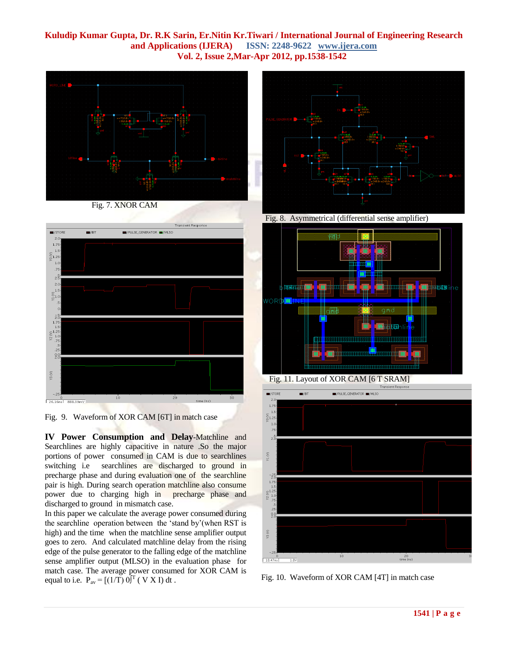

Fig. 7. XNOR CAM



Fig. 9. Waveform of XOR CAM [6T] in match case

**IV Power Consumption and Delay**-Matchline and Searchlines are highly capacitive in nature .So the major portions of power consumed in CAM is due to searchlines switching i.e searchlines are discharged to ground in precharge phase and during evaluation one of the searchline pair is high. During search operation matchline also consume power due to charging high in precharge phase and discharged to ground in mismatch case.

In this paper we calculate the average power consumed during the searchline operation between the "stand by"(when RST is high) and the time when the matchline sense amplifier output goes to zero. And calculated matchline delay from the rising edge of the pulse generator to the falling edge of the matchline sense amplifier output (MLSO) in the evaluation phase for match case. The average power consumed for XOR CAM is equal to i.e.  $P_{av} = [(1/T) 0]^T$  ( V X I) dt.



Fig. 8. Asymmetrical (differential sense amplifier)





Fig. 10. Waveform of XOR CAM [4T] in match case